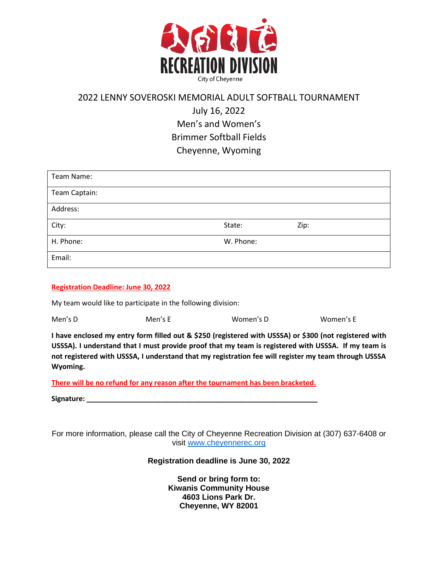

# 2022 LENNY SOVEROSKI MEMORIAL ADULT SOFTBALL TOURNAMENT July 16, 2022 Men's and Women's Brimmer Softball Fields Cheyenne, Wyoming

| Team Name:    |           |      |
|---------------|-----------|------|
| Team Captain: |           |      |
| Address:      |           |      |
| City:         | State:    | Zip: |
| H. Phone:     | W. Phone: |      |
| Email:        |           |      |

# **Registration Deadline: June 30, 2022**

My team would like to participate in the following division:

Men's D Men's E Women's D Women's E

**I have enclosed my entry form filled out & \$250 (registered with USSSA) or \$300 (not registered with USSSA). I understand that I must provide proof that my team is registered with USSSA. If my team is not registered with USSSA, I understand that my registration fee will register my team through USSSA Wyoming.**

**There will be no refund for any reason after the tournament has been bracketed.**

Signature: **with a set of the set of the set of the set of the set of the set of the set of the set of the set of the set of the set of the set of the set of the set of the set of the set of the set of the set of the set o** 

For more information, please call the City of Cheyenne Recreation Division at (307) 637-6408 or visit [www.cheyennerec.org](http://www.cheyennerec.org/)

## **Registration deadline is June 30, 2022**

**Send or bring form to: Kiwanis Community House 4603 Lions Park Dr. Cheyenne, WY 82001**